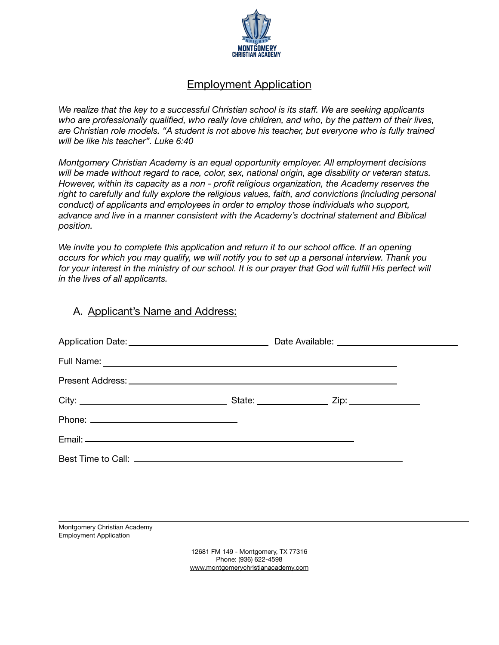

# Employment Application

*We realize that the key to a successful Christian school is its staff. We are seeking applicants who are professionally qualified, who really love children, and who, by the pattern of their lives, are Christian role models. "A student is not above his teacher, but everyone who is fully trained will be like his teacher". Luke 6:40* 

*Montgomery Christian Academy is an equal opportunity employer. All employment decisions will be made without regard to race, color, sex, national origin, age disability or veteran status. However, within its capacity as a non - profit religious organization, the Academy reserves the right to carefully and fully explore the religious values, faith, and convictions (including personal conduct) of applicants and employees in order to employ those individuals who support, advance and live in a manner consistent with the Academy's doctrinal statement and Biblical position.* 

*We invite you to complete this application and return it to our school office. If an opening occurs for which you may qualify, we will notify you to set up a personal interview. Thank you*  for your interest in the ministry of our school. It is our prayer that God will fulfill His perfect will *in the lives of all applicants.* 

#### A. Applicant's Name and Address:

Montgomery Christian Academy Employment Application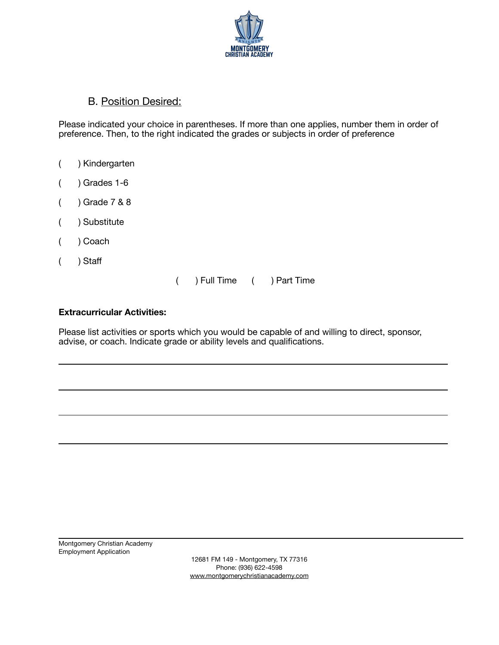

#### B. Position Desired:

Please indicated your choice in parentheses. If more than one applies, number them in order of preference. Then, to the right indicated the grades or subjects in order of preference

- ( ) Kindergarten
- $($  ) Grades 1-6
- ( ) Grade 7 & 8
- ( ) Substitute
- ( ) Coach
- ( ) Staff

( ) Full Time ( ) Part Time

#### **Extracurricular Activities:**

Please list activities or sports which you would be capable of and willing to direct, sponsor, advise, or coach. Indicate grade or ability levels and qualifications.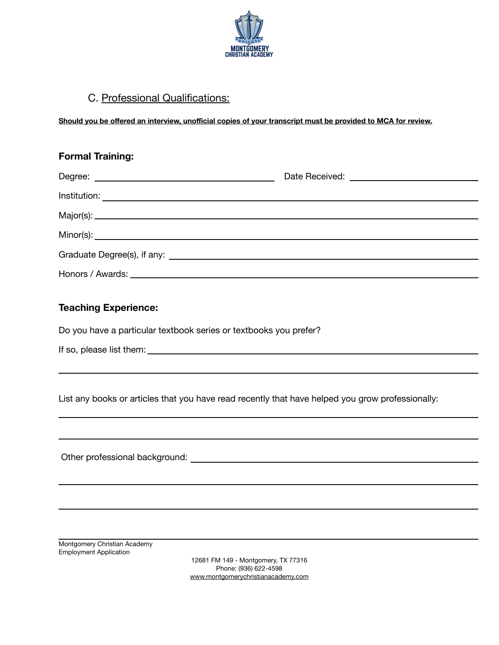

# C. Professional Qualifications:

Should you be offered an interview, unofficial copies of your transcript must be provided to MCA for review.

| <b>Formal Training:</b>                                                                                                                                                                                                        |  |
|--------------------------------------------------------------------------------------------------------------------------------------------------------------------------------------------------------------------------------|--|
|                                                                                                                                                                                                                                |  |
|                                                                                                                                                                                                                                |  |
|                                                                                                                                                                                                                                |  |
|                                                                                                                                                                                                                                |  |
|                                                                                                                                                                                                                                |  |
| Honors / Awards: University of the Contract of the Contract of the Contract of the Contract of the Contract of the Contract of the Contract of the Contract of the Contract of the Contract of the Contract of the Contract of |  |
| <b>Teaching Experience:</b>                                                                                                                                                                                                    |  |
| Do you have a particular textbook series or textbooks you prefer?                                                                                                                                                              |  |
|                                                                                                                                                                                                                                |  |
|                                                                                                                                                                                                                                |  |
| List any books or articles that you have read recently that have helped you grow professionally:                                                                                                                               |  |
|                                                                                                                                                                                                                                |  |
|                                                                                                                                                                                                                                |  |
|                                                                                                                                                                                                                                |  |
|                                                                                                                                                                                                                                |  |
|                                                                                                                                                                                                                                |  |
| Montgomery Christian Academy<br><b>Employment Application</b><br>12681 FM 149 - Montgomery, TX 77316                                                                                                                           |  |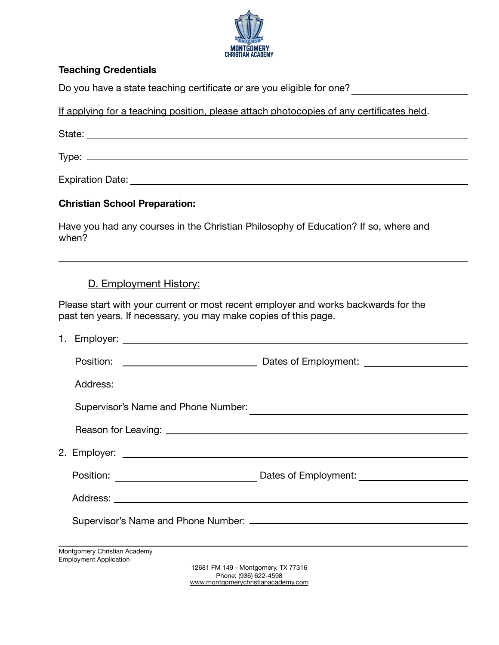

#### **Teaching Credentials**

Do you have a state teaching certificate or are you eligible for one?

If applying for a teaching position, please attach photocopies of any certificates held.

State: State: State: State: State: State: State: State: State: State: State: State: State: State: State: State: State: State: State: State: State: State: State: State: State: State: State: State: State: State: State: State

Type:

Expiration Date: **Expiration Date:** 

#### **Christian School Preparation:**

Have you had any courses in the Christian Philosophy of Education? If so, where and when?

#### D. Employment History:

Please start with your current or most recent employer and works backwards for the past ten years. If necessary, you may make copies of this page.

| Supervisor's Name and Phone Number:                                                                                                                                                                                            |                                                                                   |
|--------------------------------------------------------------------------------------------------------------------------------------------------------------------------------------------------------------------------------|-----------------------------------------------------------------------------------|
|                                                                                                                                                                                                                                |                                                                                   |
| 2. Employer: 2. Employer: 2. Employer: 2. Employer: 2. Employer: 2. Employer: 2. Employer: 2. Employer: 2. Employer: 2. Employer: 2. Employer: 2. Employer: 2. Employer: 2. Employer: 2. Employer: 2. Employer: 2. Employer: 2 |                                                                                   |
|                                                                                                                                                                                                                                | Position: ___________________________________Dates of Employment: _______________ |
|                                                                                                                                                                                                                                |                                                                                   |
|                                                                                                                                                                                                                                |                                                                                   |
|                                                                                                                                                                                                                                |                                                                                   |
| Montgomery Christian Academy                                                                                                                                                                                                   |                                                                                   |
| <b>Employment Application</b><br>12681 FM 149 - Montgomery, TX 77316                                                                                                                                                           | (0.001, 0.001)                                                                    |

Phone: (936) 622-4598 [www.montgomerychristianacademy.com](http://www.montgomerychristianacademy.com)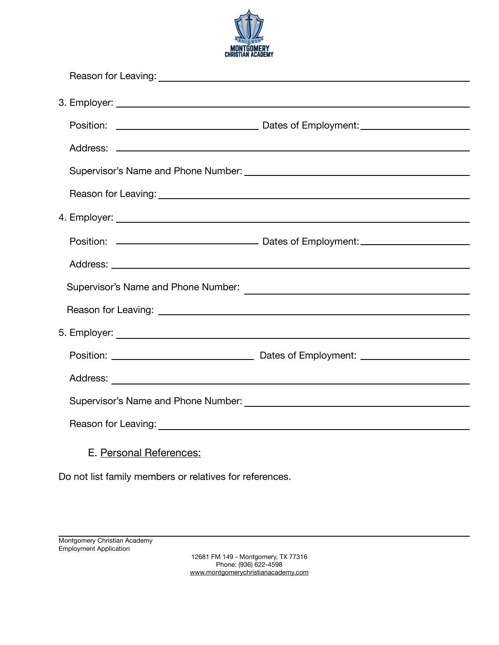

|                         | Supervisor's Name and Phone Number:<br><u> Contract Communication</u> |
|-------------------------|-----------------------------------------------------------------------|
|                         |                                                                       |
|                         |                                                                       |
|                         |                                                                       |
|                         |                                                                       |
|                         |                                                                       |
|                         |                                                                       |
| E. Personal References: |                                                                       |

Do not list family members or relatives for references.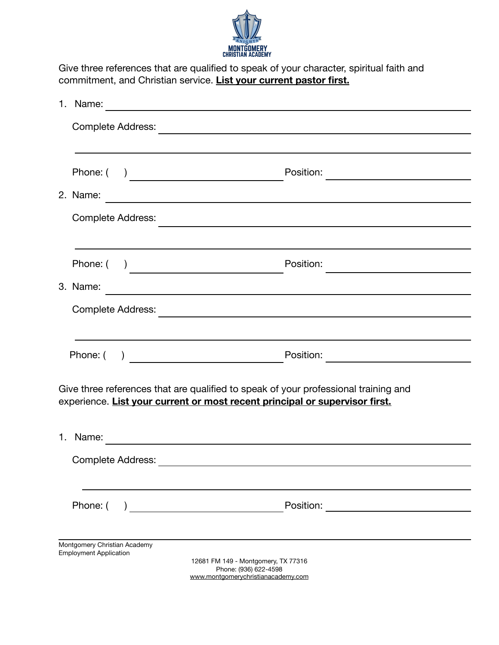

Give three references that are qualified to speak of your character, spiritual faith and commitment, and Christian service. **List your current pastor first.** 

| 1. | Name:                                                         |                                                                                                                                                                    |  |  |
|----|---------------------------------------------------------------|--------------------------------------------------------------------------------------------------------------------------------------------------------------------|--|--|
|    |                                                               |                                                                                                                                                                    |  |  |
|    |                                                               |                                                                                                                                                                    |  |  |
|    |                                                               | Position:                                                                                                                                                          |  |  |
|    | 2. Name:                                                      | <u> 1989 - Johann Stoff, Amerikaansk politiker († 1908)</u>                                                                                                        |  |  |
|    | <b>Complete Address:</b>                                      | <u> 1989 - Johann Harry Harry Harry Harry Harry Harry Harry Harry Harry Harry Harry Harry Harry Harry Harry Harry</u>                                              |  |  |
|    |                                                               |                                                                                                                                                                    |  |  |
|    | Phone: (                                                      | Position:                                                                                                                                                          |  |  |
|    | 3. Name:                                                      |                                                                                                                                                                    |  |  |
|    | <b>Complete Address:</b>                                      | <u> 1989 - Johann Barbara, martxa alemaniar arg</u>                                                                                                                |  |  |
|    |                                                               |                                                                                                                                                                    |  |  |
|    |                                                               | Position:<br><u> 1989 - Johann Marie Barn, mars et al.</u>                                                                                                         |  |  |
|    |                                                               | Give three references that are qualified to speak of your professional training and<br>experience. List your current or most recent principal or supervisor first. |  |  |
| 1. | Name:                                                         |                                                                                                                                                                    |  |  |
|    | <b>Complete Address:</b>                                      |                                                                                                                                                                    |  |  |
|    |                                                               |                                                                                                                                                                    |  |  |
|    | Phone: (                                                      | Position:<br><u> 1980 - Jan James James James III (</u><br><u> 1980 - Jan Barbara Barat, manala</u>                                                                |  |  |
|    |                                                               |                                                                                                                                                                    |  |  |
|    | Montgomery Christian Academy<br><b>Employment Application</b> | 12681 FM 149 - Montgomery, TX 77316<br>Phone: (936) 622-4598<br>www.montgomerychristianacademy.com                                                                 |  |  |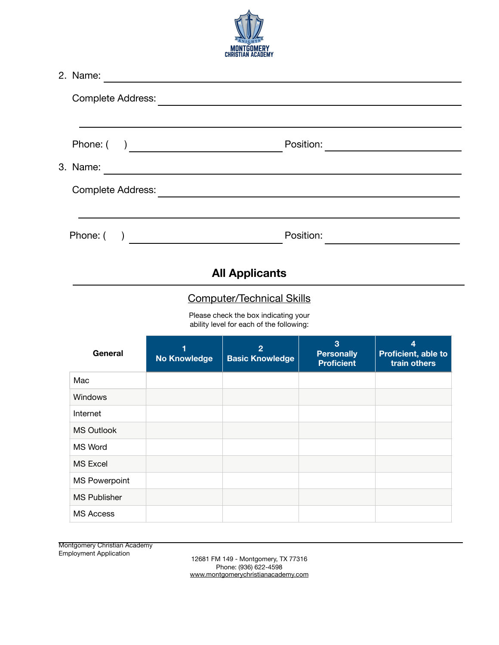

| 2. Name:<br><u> 1980 - Andrea Amerikaanse kommunister (</u> |                                  |                                                                                  |                                             |                                                       |  |
|-------------------------------------------------------------|----------------------------------|----------------------------------------------------------------------------------|---------------------------------------------|-------------------------------------------------------|--|
|                                                             |                                  |                                                                                  |                                             |                                                       |  |
|                                                             |                                  |                                                                                  | Position:                                   | <u> 1989 - Johann Barbara, martin a</u>               |  |
|                                                             |                                  |                                                                                  |                                             |                                                       |  |
| Complete Address:                                           |                                  |                                                                                  |                                             |                                                       |  |
|                                                             |                                  |                                                                                  |                                             |                                                       |  |
| Phone: $( )$                                                |                                  |                                                                                  |                                             |                                                       |  |
|                                                             |                                  |                                                                                  |                                             |                                                       |  |
|                                                             | <b>All Applicants</b>            |                                                                                  |                                             |                                                       |  |
|                                                             | <b>Computer/Technical Skills</b> |                                                                                  |                                             |                                                       |  |
|                                                             |                                  | Please check the box indicating your<br>ability level for each of the following: |                                             |                                                       |  |
| General                                                     | 1<br><b>No Knowledge</b>         | $\overline{2}$<br><b>Basic Knowledge</b>                                         | 3<br><b>Personally</b><br><b>Proficient</b> | $\overline{4}$<br>Proficient, able to<br>train others |  |
| Mac                                                         |                                  |                                                                                  |                                             |                                                       |  |
| Windows                                                     |                                  |                                                                                  |                                             |                                                       |  |
| Internet                                                    |                                  |                                                                                  |                                             |                                                       |  |
| <b>MS Outlook</b>                                           |                                  |                                                                                  |                                             |                                                       |  |
| MS Word                                                     |                                  |                                                                                  |                                             |                                                       |  |
| <b>MS Excel</b>                                             |                                  |                                                                                  |                                             |                                                       |  |
| <b>MS Powerpoint</b>                                        |                                  |                                                                                  |                                             |                                                       |  |
| <b>MS Publisher</b>                                         |                                  |                                                                                  |                                             |                                                       |  |
| <b>MS Access</b>                                            |                                  |                                                                                  |                                             |                                                       |  |

Montgomery Christian Academy<br>Employment Application

Employment Application 12681 FM 149 - Montgomery, TX 77316 Phone: (936) 622-4598 [www.montgomerychristianacademy.com](http://www.montgomerychristianacademy.com)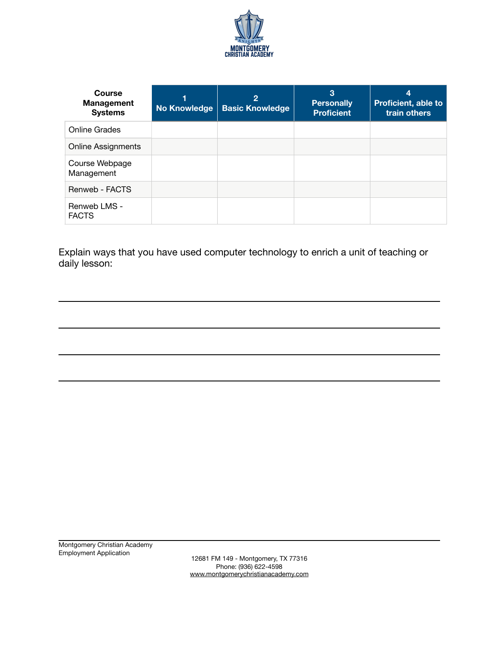

| Course<br><b>Management</b><br><b>Systems</b> | <b>No Knowledge</b> | $\overline{2}$<br><b>Basic Knowledge</b> | 3<br><b>Personally</b><br><b>Proficient</b> | 4<br>Proficient, able to<br>train others |
|-----------------------------------------------|---------------------|------------------------------------------|---------------------------------------------|------------------------------------------|
| <b>Online Grades</b>                          |                     |                                          |                                             |                                          |
| <b>Online Assignments</b>                     |                     |                                          |                                             |                                          |
| Course Webpage<br>Management                  |                     |                                          |                                             |                                          |
| Renweb - FACTS                                |                     |                                          |                                             |                                          |
| Renweb LMS -<br><b>FACTS</b>                  |                     |                                          |                                             |                                          |

Explain ways that you have used computer technology to enrich a unit of teaching or daily lesson:

Employment Application 12681 FM 149 - Montgomery, TX 77316 Phone: (936) 622-4598 [www.montgomerychristianacademy.com](http://www.montgomerychristianacademy.com)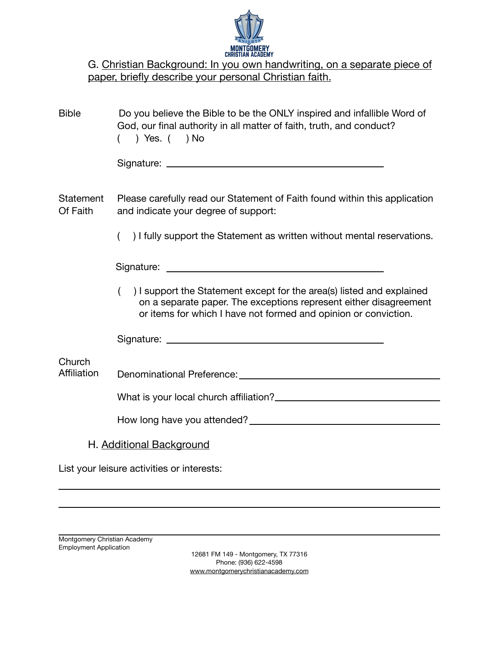

| G. Christian Background: In you own handwriting, on a separate piece of |
|-------------------------------------------------------------------------|
| paper, briefly describe your personal Christian faith.                  |

| <b>Bible</b>          | Do you believe the Bible to be the ONLY inspired and infallible Word of<br>God, our final authority in all matter of faith, truth, and conduct?<br>$)$ Yes. $($ $)$ No                                        |  |  |
|-----------------------|---------------------------------------------------------------------------------------------------------------------------------------------------------------------------------------------------------------|--|--|
|                       |                                                                                                                                                                                                               |  |  |
| Statement<br>Of Faith | Please carefully read our Statement of Faith found within this application<br>and indicate your degree of support:                                                                                            |  |  |
|                       | ) I fully support the Statement as written without mental reservations.                                                                                                                                       |  |  |
|                       |                                                                                                                                                                                                               |  |  |
|                       | ) I support the Statement except for the area(s) listed and explained<br>on a separate paper. The exceptions represent either disagreement<br>or items for which I have not formed and opinion or conviction. |  |  |
|                       |                                                                                                                                                                                                               |  |  |
| Church<br>Affiliation |                                                                                                                                                                                                               |  |  |
|                       | What is your local church affiliation?<br><u> </u>                                                                                                                                                            |  |  |
|                       |                                                                                                                                                                                                               |  |  |
|                       | H. Additional Background                                                                                                                                                                                      |  |  |
|                       | List your leisure activities or interests:                                                                                                                                                                    |  |  |

Montgomery Christian Academy Employment Application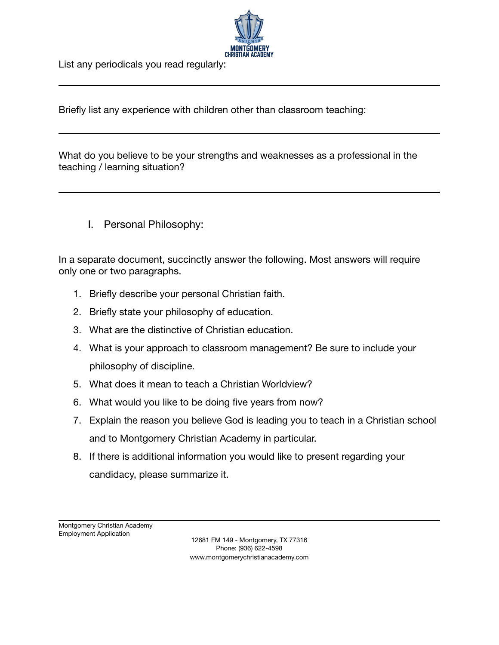

List any periodicals you read regularly:

Briefly list any experience with children other than classroom teaching:

What do you believe to be your strengths and weaknesses as a professional in the teaching / learning situation?

# I. Personal Philosophy:

In a separate document, succinctly answer the following. Most answers will require only one or two paragraphs.

- 1. Briefly describe your personal Christian faith.
- 2. Briefly state your philosophy of education.
- 3. What are the distinctive of Christian education.
- 4. What is your approach to classroom management? Be sure to include your philosophy of discipline.
- 5. What does it mean to teach a Christian Worldview?
- 6. What would you like to be doing five years from now?
- 7. Explain the reason you believe God is leading you to teach in a Christian school and to Montgomery Christian Academy in particular.
- 8. If there is additional information you would like to present regarding your candidacy, please summarize it.

Montgomery Christian Academy Employment Application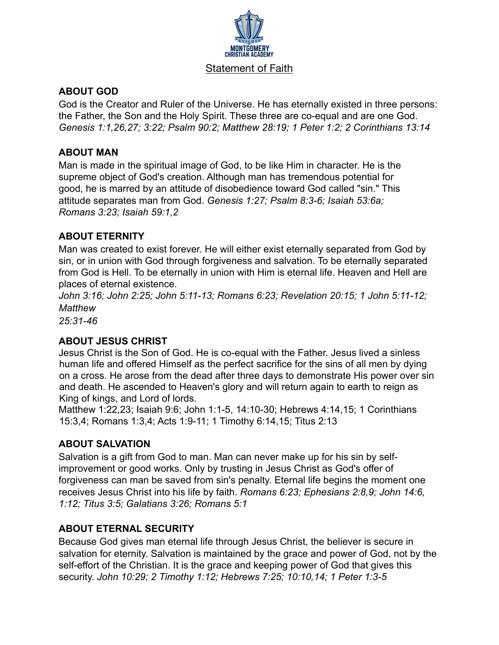

#### Statement of Faith

### **ABOUT GOD**

God is the Creator and Ruler of the Universe. He has eternally existed in three persons: the Father, the Son and the Holy Spirit. These three are co-equal and are one God. *Genesis 1:1,26,27; 3:22; Psalm 90:2; Matthew 28:19; 1 Peter 1:2; 2 Corinthians 13:14*

#### **ABOUT MAN**

Man is made in the spiritual image of God, to be like Him in character. He is the supreme object of God's creation. Although man has tremendous potential for good, he is marred by an attitude of disobedience toward God called "sin." This attitude separates man from God. *Genesis 1:27; Psalm 8:3-6; Isaiah 53:6a; Romans 3:23; Isaiah 59:1,2*

#### **ABOUT ETERNITY**

Man was created to exist forever. He will either exist eternally separated from God by sin, or in union with God through forgiveness and salvation. To be eternally separated from God is Hell. To be eternally in union with Him is eternal life. Heaven and Hell are places of eternal existence.

*John 3:16; John 2:25; John 5:11-13; Romans 6:23; Revelation 20:15; 1 John 5:11-12; Matthew* 

*25:31-46*

#### **ABOUT JESUS CHRIST**

Jesus Christ is the Son of God. He is co-equal with the Father. Jesus lived a sinless human life and offered Himself as the perfect sacrifice for the sins of all men by dying on a cross. He arose from the dead after three days to demonstrate His power over sin and death. He ascended to Heaven's glory and will return again to earth to reign as King of kings, and Lord of lords.

Matthew 1:22,23; Isaiah 9:6; John 1:1-5, 14:10-30; Hebrews 4:14,15; 1 Corinthians 15:3,4; Romans 1:3,4; Acts 1:9-11; 1 Timothy 6:14,15; Titus 2:13

#### **ABOUT SALVATION**

Salvation is a gift from God to man. Man can never make up for his sin by selfimprovement or good works. Only by trusting in Jesus Christ as God's offer of forgiveness can man be saved from sin's penalty. Eternal life begins the moment one receives Jesus Christ into his life by faith. *Romans 6:23; Ephesians 2:8,9; John 14:6, 1:12; Titus 3:5; Galatians 3:26; Romans 5:1*

# **ABOUT ETERNAL SECURITY**

Because God gives man eternal life through Jesus Christ, the believer is secure in salvation for eternity. Salvation is maintained by the grace and power of God, not by the self-effort of the Christian. It is the grace and keeping power of God that gives this security. *John 10:29; 2 Timothy 1:12; Hebrews 7:25; 10:10,14; 1 Peter 1:3-5*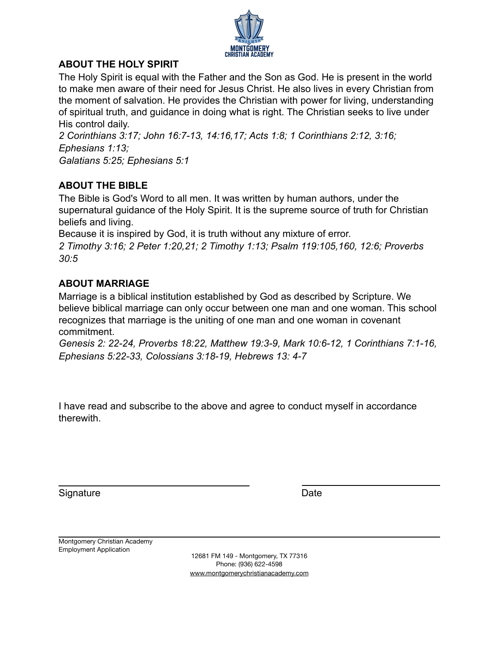

### **ABOUT THE HOLY SPIRIT**

The Holy Spirit is equal with the Father and the Son as God. He is present in the world to make men aware of their need for Jesus Christ. He also lives in every Christian from the moment of salvation. He provides the Christian with power for living, understanding of spiritual truth, and guidance in doing what is right. The Christian seeks to live under His control daily.

*2 Corinthians 3:17; John 16:7-13, 14:16,17; Acts 1:8; 1 Corinthians 2:12, 3:16; Ephesians 1:13; Galatians 5:25; Ephesians 5:1*

# **ABOUT THE BIBLE**

The Bible is God's Word to all men. It was written by human authors, under the supernatural guidance of the Holy Spirit. It is the supreme source of truth for Christian beliefs and living.

Because it is inspired by God, it is truth without any mixture of error.

*2 Timothy 3:16; 2 Peter 1:20,21; 2 Timothy 1:13; Psalm 119:105,160, 12:6; Proverbs 30:5*

# **ABOUT MARRIAGE**

Marriage is a biblical institution established by God as described by Scripture. We believe biblical marriage can only occur between one man and one woman. This school recognizes that marriage is the uniting of one man and one woman in covenant commitment.

*Genesis 2: 22-24, Proverbs 18:22, Matthew 19:3-9, Mark 10:6-12, 1 Corinthians 7:1-16, Ephesians 5:22-33, Colossians 3:18-19, Hebrews 13: 4-7*

I have read and subscribe to the above and agree to conduct myself in accordance therewith.

Signature Date Date

Montgomery Christian Academy Employment Application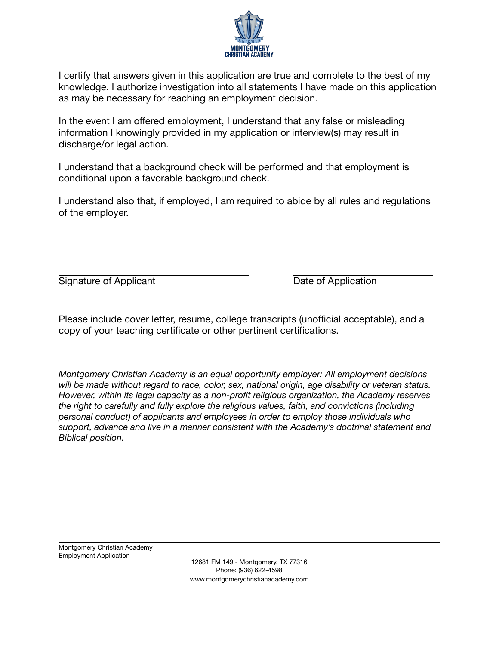

I certify that answers given in this application are true and complete to the best of my knowledge. I authorize investigation into all statements I have made on this application as may be necessary for reaching an employment decision.

In the event I am offered employment, I understand that any false or misleading information I knowingly provided in my application or interview(s) may result in discharge/or legal action.

I understand that a background check will be performed and that employment is conditional upon a favorable background check.

I understand also that, if employed, I am required to abide by all rules and regulations of the employer.

Signature of Applicant **Signature of Application** 

Please include cover letter, resume, college transcripts (unofficial acceptable), and a copy of your teaching certificate or other pertinent certifications.

*Montgomery Christian Academy is an equal opportunity employer: All employment decisions will be made without regard to race, color, sex, national origin, age disability or veteran status. However, within its legal capacity as a non-profit religious organization, the Academy reserves the right to carefully and fully explore the religious values, faith, and convictions (including personal conduct) of applicants and employees in order to employ those individuals who support, advance and live in a manner consistent with the Academy's doctrinal statement and Biblical position.* 

Montgomery Christian Academy Employment Application